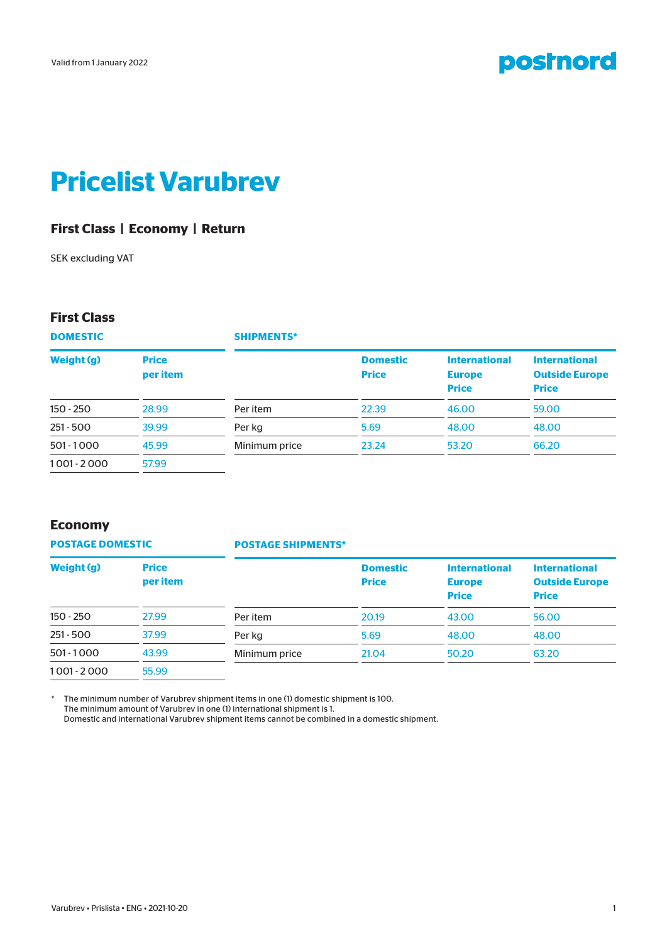

# **Pricelist Varubrev**

## **First Class | Economy | Return**

SEK excluding VAT

### **First Class**

**DOMESTIC Weight (g) Price per item** 150 - 250 28.99 251 - 500 39.99 **SHIPMENTS\* Domestic Price International Europe Price International Outside Europe Price** Per item 22.39 46.00 59.00 Per kg 3 3 48.00 48.00 48.00 48.00

Minimum price 23.24 53.20 66.20

## **Economy**

**POSTAGE DOMESTIC**

501 - 1000 45.99 1 001 - 2 000 57.99

#### **POSTAGE SHIPMENTS\***

| Weight (g)    | <b>Price</b><br>per item |               | <b>Domestic</b><br><b>Price</b> | <b>International</b><br><b>Europe</b> | <b>International</b><br><b>Outside Europe</b> |
|---------------|--------------------------|---------------|---------------------------------|---------------------------------------|-----------------------------------------------|
|               |                          |               |                                 | <b>Price</b>                          | <b>Price</b>                                  |
| $150 - 250$   | 27.99                    | Per item      | 20.19                           | 43.00                                 | 56.00                                         |
| $251 - 500$   | 37.99                    | Per kg        | 5.69                            | 48.00                                 | 48.00                                         |
| $501 - 1000$  | 43.99                    | Minimum price | 21.04                           | 50.20                                 | 63.20                                         |
| $1001 - 2000$ | 55.99                    |               |                                 |                                       |                                               |

The minimum number of Varubrev shipment items in one (1) domestic shipment is 100. The minimum amount of Varubrev in one (1) international shipment is 1. Domestic and international Varubrev shipment items cannot be combined in a domestic shipment.